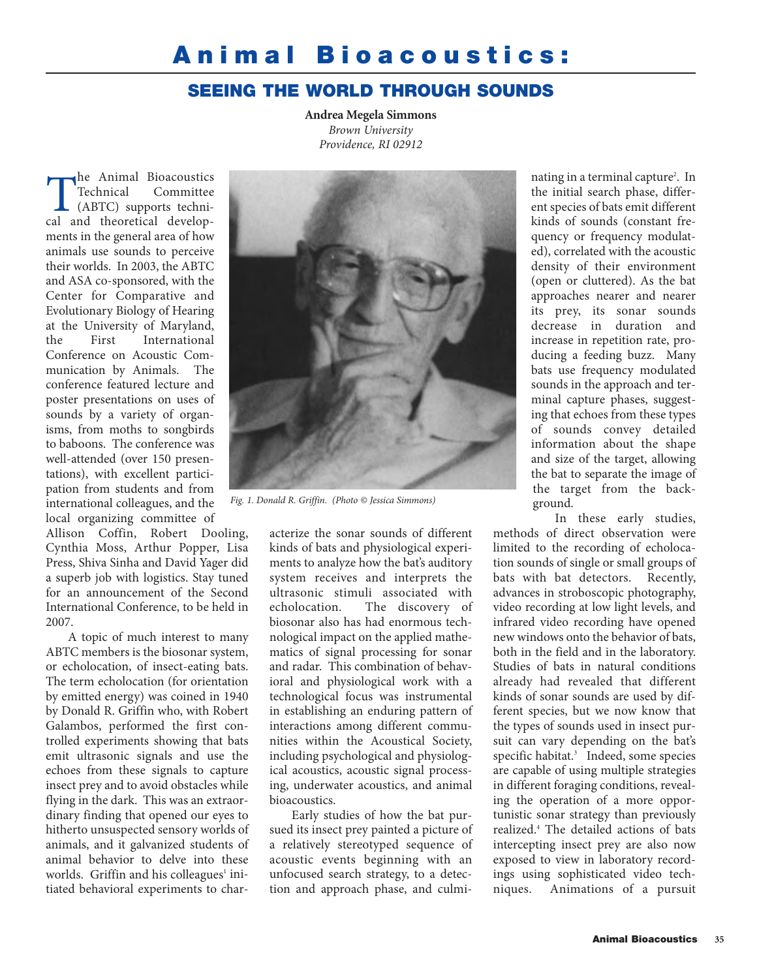# **Animal Bioacoustics:**

## **SEEING THE WORLD THROUGH SOUNDS**

**Andrea Megela Simmons** *Brown University Providence, RI 02912*

The Animal Bioacoustics<br>Technical Committee<br>(ABTC) supports techni-<br>cal and theoretical develop-Technical Committee (ABTC) supports technical and theoretical developments in the general area of how animals use sounds to perceive their worlds. In 2003, the ABTC and ASA co-sponsored, with the Center for Comparative and Evolutionary Biology of Hearing at the University of Maryland, the First International Conference on Acoustic Communication by Animals. The conference featured lecture and poster presentations on uses of sounds by a variety of organisms, from moths to songbirds to baboons. The conference was well-attended (over 150 presentations), with excellent participation from students and from international colleagues, and the local organizing committee of

Allison Coffin, Robert Dooling, Cynthia Moss, Arthur Popper, Lisa Press, Shiva Sinha and David Yager did a superb job with logistics. Stay tuned for an announcement of the Second International Conference, to be held in 2007.

A topic of much interest to many ABTC members is the biosonar system, or echolocation, of insect-eating bats. The term echolocation (for orientation by emitted energy) was coined in 1940 by Donald R. Griffin who, with Robert Galambos, performed the first controlled experiments showing that bats emit ultrasonic signals and use the echoes from these signals to capture insect prey and to avoid obstacles while flying in the dark. This was an extraordinary finding that opened our eyes to hitherto unsuspected sensory worlds of animals, and it galvanized students of animal behavior to delve into these worlds. Griffin and his colleagues<sup>1</sup> initiated behavioral experiments to char-



*Fig. 1. Donald R. Griffin. (Photo © Jessica Simmons)*

acterize the sonar sounds of different kinds of bats and physiological experiments to analyze how the bat's auditory system receives and interprets the ultrasonic stimuli associated with echolocation. The discovery of biosonar also has had enormous technological impact on the applied mathematics of signal processing for sonar and radar. This combination of behavioral and physiological work with a technological focus was instrumental in establishing an enduring pattern of interactions among different communities within the Acoustical Society, including psychological and physiological acoustics, acoustic signal processing, underwater acoustics, and animal bioacoustics.

Early studies of how the bat pursued its insect prey painted a picture of a relatively stereotyped sequence of acoustic events beginning with an unfocused search strategy, to a detection and approach phase, and culmi-

nating in a terminal capture<sup>2</sup>. In the initial search phase, different species of bats emit different kinds of sounds (constant frequency or frequency modulated), correlated with the acoustic density of their environment (open or cluttered). As the bat approaches nearer and nearer its prey, its sonar sounds decrease in duration and increase in repetition rate, producing a feeding buzz. Many bats use frequency modulated sounds in the approach and terminal capture phases, suggesting that echoes from these types of sounds convey detailed information about the shape and size of the target, allowing the bat to separate the image of the target from the background.

In these early studies, methods of direct observation were limited to the recording of echolocation sounds of single or small groups of bats with bat detectors. Recently, advances in stroboscopic photography, video recording at low light levels, and infrared video recording have opened new windows onto the behavior of bats, both in the field and in the laboratory. Studies of bats in natural conditions already had revealed that different kinds of sonar sounds are used by different species, but we now know that the types of sounds used in insect pursuit can vary depending on the bat's specific habitat.<sup>3</sup> Indeed, some species are capable of using multiple strategies in different foraging conditions, revealing the operation of a more opportunistic sonar strategy than previously realized.4 The detailed actions of bats intercepting insect prey are also now exposed to view in laboratory recordings using sophisticated video techniques. Animations of a pursuit